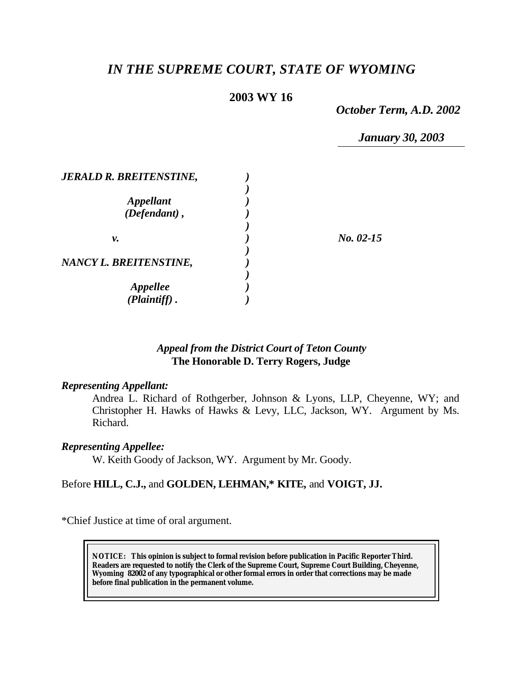# *IN THE SUPREME COURT, STATE OF WYOMING*

# **2003 WY 16**

*October Term, A.D. 2002*

*January 30, 2003*

| <b>JERALD R. BREITENSTINE,</b> |             |
|--------------------------------|-------------|
|                                |             |
| <b>Appellant</b>               |             |
| $(Defendant)$ ,                |             |
|                                |             |
| ν.                             | $No. 02-15$ |
|                                |             |
| NANCY L. BREITENSTINE,         |             |
|                                |             |
| <i><b>Appellee</b></i>         |             |
| (Plaintiff)                    |             |

# *Appeal from the District Court of Teton County* **The Honorable D. Terry Rogers, Judge**

### *Representing Appellant:*

Andrea L. Richard of Rothgerber, Johnson & Lyons, LLP, Cheyenne, WY; and Christopher H. Hawks of Hawks & Levy, LLC, Jackson, WY. Argument by Ms. Richard.

### *Representing Appellee:*

W. Keith Goody of Jackson, WY. Argument by Mr. Goody.

# Before **HILL, C.J.,** and **GOLDEN, LEHMAN,\* KITE,** and **VOIGT, JJ.**

\*Chief Justice at time of oral argument.

**NOTICE:** *This opinion is subject to formal revision before publication in Pacific Reporter Third. Readers are requested to notify the Clerk of the Supreme Court, Supreme Court Building, Cheyenne, Wyoming 82002 of any typographical or other formal errors in order that corrections may be made before final publication in the permanent volume.*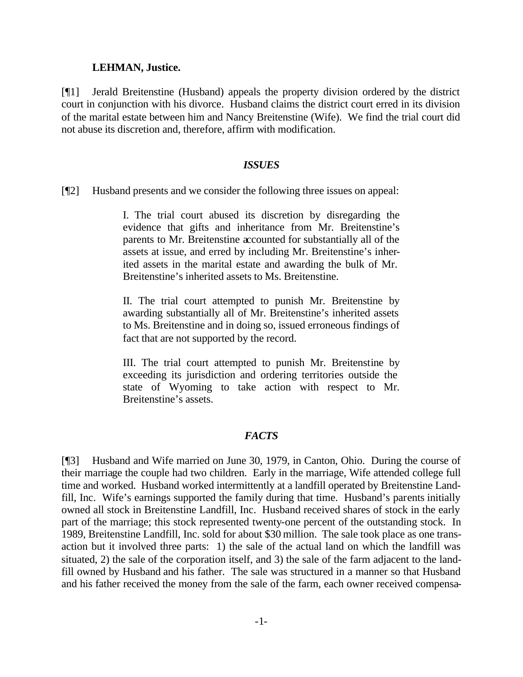#### **LEHMAN, Justice.**

[¶1] Jerald Breitenstine (Husband) appeals the property division ordered by the district court in conjunction with his divorce. Husband claims the district court erred in its division of the marital estate between him and Nancy Breitenstine (Wife). We find the trial court did not abuse its discretion and, therefore, affirm with modification.

#### *ISSUES*

[¶2] Husband presents and we consider the following three issues on appeal:

I. The trial court abused its discretion by disregarding the evidence that gifts and inheritance from Mr. Breitenstine's parents to Mr. Breitenstine accounted for substantially all of the assets at issue, and erred by including Mr. Breitenstine's inherited assets in the marital estate and awarding the bulk of Mr. Breitenstine's inherited assets to Ms. Breitenstine.

II. The trial court attempted to punish Mr. Breitenstine by awarding substantially all of Mr. Breitenstine's inherited assets to Ms. Breitenstine and in doing so, issued erroneous findings of fact that are not supported by the record.

III. The trial court attempted to punish Mr. Breitenstine by exceeding its jurisdiction and ordering territories outside the state of Wyoming to take action with respect to Mr. Breitenstine's assets.

## *FACTS*

[¶3] Husband and Wife married on June 30, 1979, in Canton, Ohio. During the course of their marriage the couple had two children. Early in the marriage, Wife attended college full time and worked. Husband worked intermittently at a landfill operated by Breitenstine Landfill, Inc. Wife's earnings supported the family during that time. Husband's parents initially owned all stock in Breitenstine Landfill, Inc. Husband received shares of stock in the early part of the marriage; this stock represented twenty-one percent of the outstanding stock. In 1989, Breitenstine Landfill, Inc. sold for about \$30 million. The sale took place as one transaction but it involved three parts: 1) the sale of the actual land on which the landfill was situated, 2) the sale of the corporation itself, and 3) the sale of the farm adjacent to the landfill owned by Husband and his father. The sale was structured in a manner so that Husband and his father received the money from the sale of the farm, each owner received compensa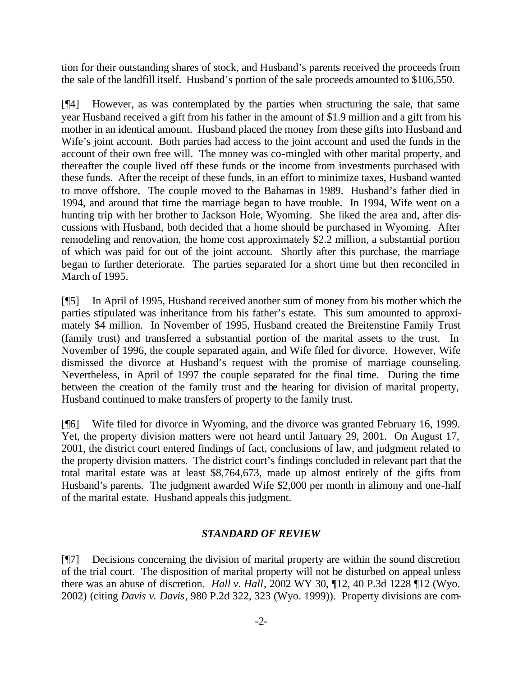tion for their outstanding shares of stock, and Husband's parents received the proceeds from the sale of the landfill itself. Husband's portion of the sale proceeds amounted to \$106,550.

[¶4] However, as was contemplated by the parties when structuring the sale, that same year Husband received a gift from his father in the amount of \$1.9 million and a gift from his mother in an identical amount. Husband placed the money from these gifts into Husband and Wife's joint account. Both parties had access to the joint account and used the funds in the account of their own free will. The money was co-mingled with other marital property, and thereafter the couple lived off these funds or the income from investments purchased with these funds. After the receipt of these funds, in an effort to minimize taxes, Husband wanted to move offshore. The couple moved to the Bahamas in 1989. Husband's father died in 1994, and around that time the marriage began to have trouble. In 1994, Wife went on a hunting trip with her brother to Jackson Hole, Wyoming. She liked the area and, after discussions with Husband, both decided that a home should be purchased in Wyoming. After remodeling and renovation, the home cost approximately \$2.2 million, a substantial portion of which was paid for out of the joint account. Shortly after this purchase, the marriage began to further deteriorate. The parties separated for a short time but then reconciled in March of 1995.

[¶5] In April of 1995, Husband received another sum of money from his mother which the parties stipulated was inheritance from his father's estate. This sum amounted to approximately \$4 million. In November of 1995, Husband created the Breitenstine Family Trust (family trust) and transferred a substantial portion of the marital assets to the trust. In November of 1996, the couple separated again, and Wife filed for divorce. However, Wife dismissed the divorce at Husband's request with the promise of marriage counseling. Nevertheless, in April of 1997 the couple separated for the final time. During the time between the creation of the family trust and the hearing for division of marital property, Husband continued to make transfers of property to the family trust.

[¶6] Wife filed for divorce in Wyoming, and the divorce was granted February 16, 1999. Yet, the property division matters were not heard until January 29, 2001. On August 17, 2001, the district court entered findings of fact, conclusions of law, and judgment related to the property division matters. The district court's findings concluded in relevant part that the total marital estate was at least \$8,764,673, made up almost entirely of the gifts from Husband's parents. The judgment awarded Wife \$2,000 per month in alimony and one-half of the marital estate. Husband appeals this judgment.

# *STANDARD OF REVIEW*

[¶7] Decisions concerning the division of marital property are within the sound discretion of the trial court. The disposition of marital property will not be disturbed on appeal unless there was an abuse of discretion. *Hall v. Hall*, 2002 WY 30, ¶12, 40 P.3d 1228 ¶12 (Wyo. 2002) (citing *Davis v. Davis*, 980 P.2d 322, 323 (Wyo. 1999)). Property divisions are com-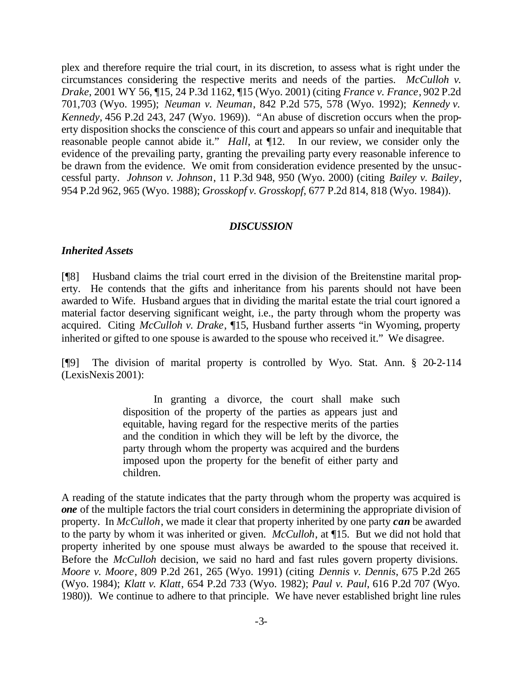plex and therefore require the trial court, in its discretion, to assess what is right under the circumstances considering the respective merits and needs of the parties. *McCulloh v. Drake*, 2001 WY 56, ¶15, 24 P.3d 1162, ¶15 (Wyo. 2001) (citing *France v. France*, 902 P.2d 701,703 (Wyo. 1995); *Neuman v. Neuman*, 842 P.2d 575, 578 (Wyo. 1992); *Kennedy v. Kennedy,* 456 P.2d 243, 247 (Wyo. 1969)). "An abuse of discretion occurs when the property disposition shocks the conscience of this court and appears so unfair and inequitable that reasonable people cannot abide it." *Hall*, at ¶12. In our review, we consider only the evidence of the prevailing party, granting the prevailing party every reasonable inference to be drawn from the evidence. We omit from consideration evidence presented by the unsuccessful party. *Johnson v. Johnson*, 11 P.3d 948, 950 (Wyo. 2000) (citing *Bailey v. Bailey*, 954 P.2d 962, 965 (Wyo. 1988); *Grosskopf v. Grosskopf*, 677 P.2d 814, 818 (Wyo. 1984)).

#### *DISCUSSION*

#### *Inherited Assets*

[¶8] Husband claims the trial court erred in the division of the Breitenstine marital property. He contends that the gifts and inheritance from his parents should not have been awarded to Wife. Husband argues that in dividing the marital estate the trial court ignored a material factor deserving significant weight, i.e., the party through whom the property was acquired. Citing *McCulloh v. Drake*, ¶15, Husband further asserts "in Wyoming, property inherited or gifted to one spouse is awarded to the spouse who received it." We disagree.

[¶9] The division of marital property is controlled by Wyo. Stat. Ann. § 20-2-114 (LexisNexis 2001):

> In granting a divorce, the court shall make such disposition of the property of the parties as appears just and equitable, having regard for the respective merits of the parties and the condition in which they will be left by the divorce, the party through whom the property was acquired and the burdens imposed upon the property for the benefit of either party and children.

A reading of the statute indicates that the party through whom the property was acquired is *one* of the multiple factors the trial court considers in determining the appropriate division of property. In *McCulloh*, we made it clear that property inherited by one party *can* be awarded to the party by whom it was inherited or given. *McCulloh*, at ¶15. But we did not hold that property inherited by one spouse must always be awarded to the spouse that received it. Before the *McCulloh* decision, we said no hard and fast rules govern property divisions. *Moore v. Moore*, 809 P.2d 261, 265 (Wyo. 1991) (citing *Dennis v. Dennis*, 675 P.2d 265 (Wyo. 1984); *Klatt v. Klatt*, 654 P.2d 733 (Wyo. 1982); *Paul v. Paul*, 616 P.2d 707 (Wyo. 1980)). We continue to adhere to that principle. We have never established bright line rules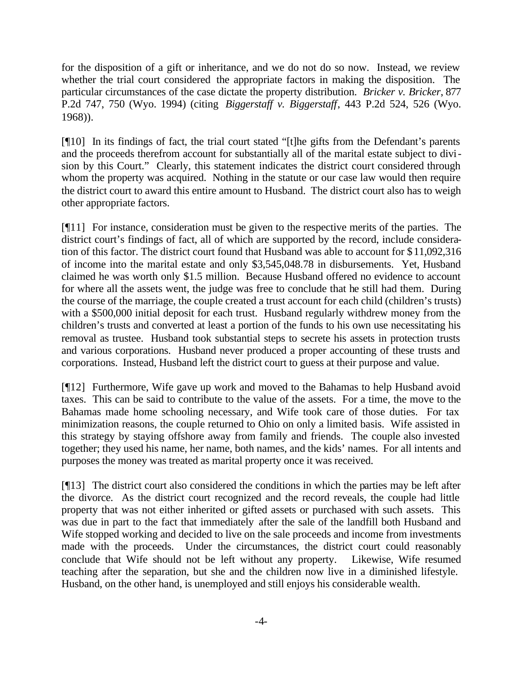for the disposition of a gift or inheritance, and we do not do so now. Instead, we review whether the trial court considered the appropriate factors in making the disposition. The particular circumstances of the case dictate the property distribution. *Bricker v. Bricker*, 877 P.2d 747, 750 (Wyo. 1994) (citing *Biggerstaff v. Biggerstaff*, 443 P.2d 524, 526 (Wyo. 1968)).

[¶10] In its findings of fact, the trial court stated "[t]he gifts from the Defendant's parents and the proceeds therefrom account for substantially all of the marital estate subject to division by this Court." Clearly, this statement indicates the district court considered through whom the property was acquired. Nothing in the statute or our case law would then require the district court to award this entire amount to Husband. The district court also has to weigh other appropriate factors.

[¶11] For instance, consideration must be given to the respective merits of the parties. The district court's findings of fact, all of which are supported by the record, include consideration of this factor. The district court found that Husband was able to account for \$11,092,316 of income into the marital estate and only \$3,545,048.78 in disbursements. Yet, Husband claimed he was worth only \$1.5 million. Because Husband offered no evidence to account for where all the assets went, the judge was free to conclude that he still had them. During the course of the marriage, the couple created a trust account for each child (children's trusts) with a \$500,000 initial deposit for each trust. Husband regularly withdrew money from the children's trusts and converted at least a portion of the funds to his own use necessitating his removal as trustee. Husband took substantial steps to secrete his assets in protection trusts and various corporations. Husband never produced a proper accounting of these trusts and corporations. Instead, Husband left the district court to guess at their purpose and value.

[¶12] Furthermore, Wife gave up work and moved to the Bahamas to help Husband avoid taxes. This can be said to contribute to the value of the assets. For a time, the move to the Bahamas made home schooling necessary, and Wife took care of those duties. For tax minimization reasons, the couple returned to Ohio on only a limited basis. Wife assisted in this strategy by staying offshore away from family and friends. The couple also invested together; they used his name, her name, both names, and the kids' names. For all intents and purposes the money was treated as marital property once it was received.

[¶13] The district court also considered the conditions in which the parties may be left after the divorce. As the district court recognized and the record reveals, the couple had little property that was not either inherited or gifted assets or purchased with such assets. This was due in part to the fact that immediately after the sale of the landfill both Husband and Wife stopped working and decided to live on the sale proceeds and income from investments made with the proceeds. Under the circumstances, the district court could reasonably conclude that Wife should not be left without any property. Likewise, Wife resumed teaching after the separation, but she and the children now live in a diminished lifestyle. Husband, on the other hand, is unemployed and still enjoys his considerable wealth.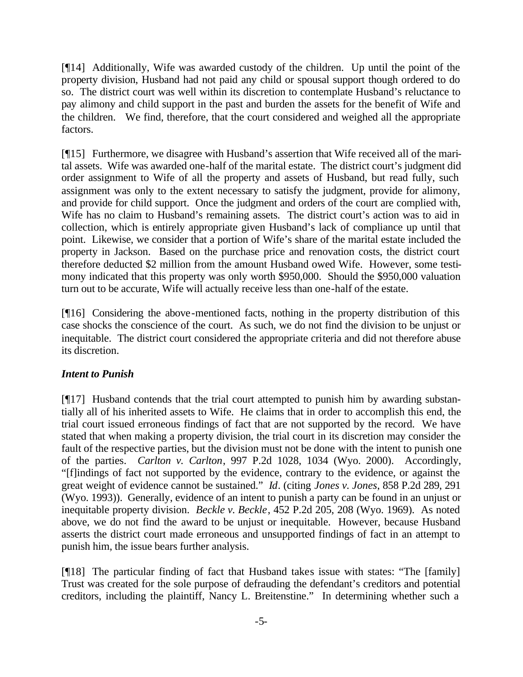[¶14] Additionally, Wife was awarded custody of the children. Up until the point of the property division, Husband had not paid any child or spousal support though ordered to do so. The district court was well within its discretion to contemplate Husband's reluctance to pay alimony and child support in the past and burden the assets for the benefit of Wife and the children. We find, therefore, that the court considered and weighed all the appropriate factors.

[¶15] Furthermore, we disagree with Husband's assertion that Wife received all of the marital assets. Wife was awarded one-half of the marital estate. The district court's judgment did order assignment to Wife of all the property and assets of Husband, but read fully, such assignment was only to the extent necessary to satisfy the judgment, provide for alimony, and provide for child support. Once the judgment and orders of the court are complied with, Wife has no claim to Husband's remaining assets. The district court's action was to aid in collection, which is entirely appropriate given Husband's lack of compliance up until that point. Likewise, we consider that a portion of Wife's share of the marital estate included the property in Jackson. Based on the purchase price and renovation costs, the district court therefore deducted \$2 million from the amount Husband owed Wife. However, some testimony indicated that this property was only worth \$950,000. Should the \$950,000 valuation turn out to be accurate, Wife will actually receive less than one-half of the estate.

[¶16] Considering the above-mentioned facts, nothing in the property distribution of this case shocks the conscience of the court. As such, we do not find the division to be unjust or inequitable. The district court considered the appropriate criteria and did not therefore abuse its discretion.

## *Intent to Punish*

[¶17] Husband contends that the trial court attempted to punish him by awarding substantially all of his inherited assets to Wife. He claims that in order to accomplish this end, the trial court issued erroneous findings of fact that are not supported by the record. We have stated that when making a property division, the trial court in its discretion may consider the fault of the respective parties, but the division must not be done with the intent to punish one of the parties. *Carlton v. Carlton*, 997 P.2d 1028, 1034 (Wyo. 2000). Accordingly, "[f]indings of fact not supported by the evidence, contrary to the evidence, or against the great weight of evidence cannot be sustained." *Id*. (citing *Jones v. Jones*, 858 P.2d 289, 291 (Wyo. 1993)). Generally, evidence of an intent to punish a party can be found in an unjust or inequitable property division. *Beckle v. Beckle*, 452 P.2d 205, 208 (Wyo. 1969). As noted above, we do not find the award to be unjust or inequitable. However, because Husband asserts the district court made erroneous and unsupported findings of fact in an attempt to punish him, the issue bears further analysis.

[¶18] The particular finding of fact that Husband takes issue with states: "The [family] Trust was created for the sole purpose of defrauding the defendant's creditors and potential creditors, including the plaintiff, Nancy L. Breitenstine." In determining whether such a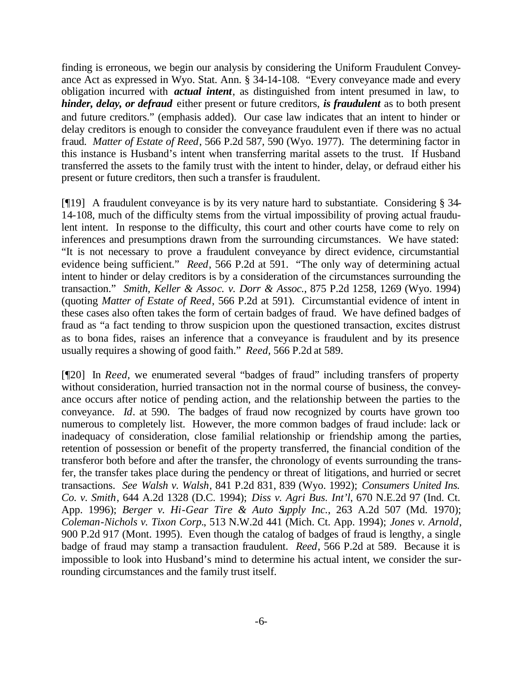finding is erroneous, we begin our analysis by considering the Uniform Fraudulent Conveyance Act as expressed in Wyo. Stat. Ann. § 34-14-108. "Every conveyance made and every obligation incurred with *actual intent*, as distinguished from intent presumed in law, to *hinder, delay, or defraud* either present or future creditors, *is fraudulent* as to both present and future creditors." (emphasis added). Our case law indicates that an intent to hinder or delay creditors is enough to consider the conveyance fraudulent even if there was no actual fraud. *Matter of Estate of Reed*, 566 P.2d 587, 590 (Wyo. 1977). The determining factor in this instance is Husband's intent when transferring marital assets to the trust. If Husband transferred the assets to the family trust with the intent to hinder, delay, or defraud either his present or future creditors, then such a transfer is fraudulent.

[¶19] A fraudulent conveyance is by its very nature hard to substantiate. Considering § 34- 14-108, much of the difficulty stems from the virtual impossibility of proving actual fraudulent intent. In response to the difficulty, this court and other courts have come to rely on inferences and presumptions drawn from the surrounding circumstances. We have stated: "It is not necessary to prove a fraudulent conveyance by direct evidence, circumstantial evidence being sufficient." *Reed*, 566 P.2d at 591. "The only way of determining actual intent to hinder or delay creditors is by a consideration of the circumstances surrounding the transaction." *Smith, Keller & Assoc. v. Dorr & Assoc.*, 875 P.2d 1258, 1269 (Wyo. 1994) (quoting *Matter of Estate of Reed*, 566 P.2d at 591). Circumstantial evidence of intent in these cases also often takes the form of certain badges of fraud. We have defined badges of fraud as "a fact tending to throw suspicion upon the questioned transaction, excites distrust as to bona fides, raises an inference that a conveyance is fraudulent and by its presence usually requires a showing of good faith." *Reed,* 566 P.2d at 589.

[¶20] In *Reed*, we enumerated several "badges of fraud" including transfers of property without consideration, hurried transaction not in the normal course of business, the conveyance occurs after notice of pending action, and the relationship between the parties to the conveyance. *Id*. at 590. The badges of fraud now recognized by courts have grown too numerous to completely list. However, the more common badges of fraud include: lack or inadequacy of consideration, close familial relationship or friendship among the parties, retention of possession or benefit of the property transferred, the financial condition of the transferor both before and after the transfer, the chronology of events surrounding the transfer, the transfer takes place during the pendency or threat of litigations, and hurried or secret transactions. *See Walsh v. Walsh*, 841 P.2d 831, 839 (Wyo. 1992); *Consumers United Ins. Co. v. Smith*, 644 A.2d 1328 (D.C. 1994); *Diss v. Agri Bus. Int'l*, 670 N.E.2d 97 (Ind. Ct. App. 1996); *Berger v. Hi-Gear Tire & Auto Supply Inc.*, 263 A.2d 507 (Md. 1970); *Coleman-Nichols v. Tixon Corp.*, 513 N.W.2d 441 (Mich. Ct. App. 1994); *Jones v. Arnold*, 900 P.2d 917 (Mont. 1995). Even though the catalog of badges of fraud is lengthy, a single badge of fraud may stamp a transaction fraudulent. *Reed*, 566 P.2d at 589. Because it is impossible to look into Husband's mind to determine his actual intent, we consider the surrounding circumstances and the family trust itself.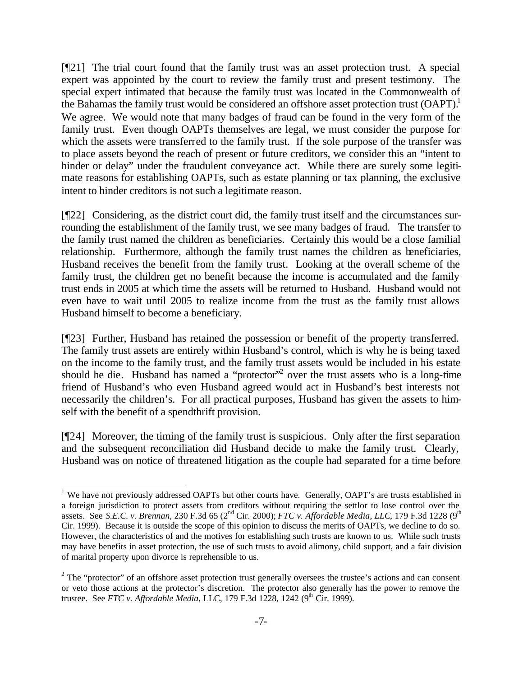[¶21] The trial court found that the family trust was an asset protection trust. A special expert was appointed by the court to review the family trust and present testimony. The special expert intimated that because the family trust was located in the Commonwealth of the Bahamas the family trust would be considered an offshore asset protection trust (OAPT).<sup>1</sup> We agree. We would note that many badges of fraud can be found in the very form of the family trust. Even though OAPTs themselves are legal, we must consider the purpose for which the assets were transferred to the family trust. If the sole purpose of the transfer was to place assets beyond the reach of present or future creditors, we consider this an "intent to hinder or delay" under the fraudulent conveyance act. While there are surely some legitimate reasons for establishing OAPTs, such as estate planning or tax planning, the exclusive intent to hinder creditors is not such a legitimate reason.

[¶22] Considering, as the district court did, the family trust itself and the circumstances surrounding the establishment of the family trust, we see many badges of fraud. The transfer to the family trust named the children as beneficiaries. Certainly this would be a close familial relationship. Furthermore, although the family trust names the children as beneficiaries, Husband receives the benefit from the family trust. Looking at the overall scheme of the family trust, the children get no benefit because the income is accumulated and the family trust ends in 2005 at which time the assets will be returned to Husband. Husband would not even have to wait until 2005 to realize income from the trust as the family trust allows Husband himself to become a beneficiary.

[¶23] Further, Husband has retained the possession or benefit of the property transferred. The family trust assets are entirely within Husband's control, which is why he is being taxed on the income to the family trust, and the family trust assets would be included in his estate should he die. Husband has named a "protector"<sup>2</sup> over the trust assets who is a long-time friend of Husband's who even Husband agreed would act in Husband's best interests not necessarily the children's. For all practical purposes, Husband has given the assets to himself with the benefit of a spendthrift provision.

[¶24] Moreover, the timing of the family trust is suspicious. Only after the first separation and the subsequent reconciliation did Husband decide to make the family trust. Clearly, Husband was on notice of threatened litigation as the couple had separated for a time before

l

<sup>&</sup>lt;sup>1</sup> We have not previously addressed OAPTs but other courts have. Generally, OAPT's are trusts established in a foreign jurisdiction to protect assets from creditors without requiring the settlor to lose control over the assets. See *S.E.C. v. Brennan*, 230 F.3d 65 (2<sup>nd</sup> Cir. 2000); *FTC v. Affordable Media, LLC*, 179 F.3d 1228 (9<sup>th</sup> Cir. 1999). Because it is outside the scope of this opinion to discuss the merits of OAPTs, we decline to do so. However, the characteristics of and the motives for establishing such trusts are known to us. While such trusts may have benefits in asset protection, the use of such trusts to avoid alimony, child support, and a fair division of marital property upon divorce is reprehensible to us.

 $2^{2}$  The "protector" of an offshore asset protection trust generally oversees the trustee's actions and can consent or veto those actions at the protector's discretion. The protector also generally has the power to remove the trustee. See *FTC v. Affordable Media*, LLC, 179 F.3d 1228, 1242 (9<sup>th</sup> Cir. 1999).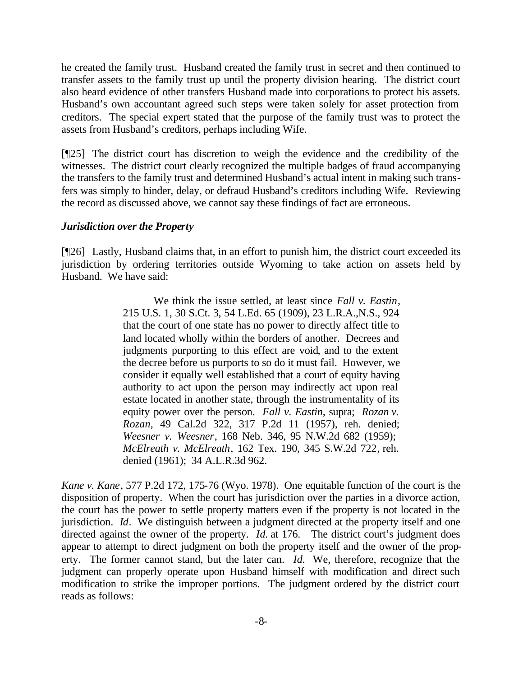he created the family trust. Husband created the family trust in secret and then continued to transfer assets to the family trust up until the property division hearing. The district court also heard evidence of other transfers Husband made into corporations to protect his assets. Husband's own accountant agreed such steps were taken solely for asset protection from creditors. The special expert stated that the purpose of the family trust was to protect the assets from Husband's creditors, perhaps including Wife.

[¶25] The district court has discretion to weigh the evidence and the credibility of the witnesses. The district court clearly recognized the multiple badges of fraud accompanying the transfers to the family trust and determined Husband's actual intent in making such transfers was simply to hinder, delay, or defraud Husband's creditors including Wife. Reviewing the record as discussed above, we cannot say these findings of fact are erroneous.

### *Jurisdiction over the Property*

[¶26] Lastly, Husband claims that, in an effort to punish him, the district court exceeded its jurisdiction by ordering territories outside Wyoming to take action on assets held by Husband. We have said:

> We think the issue settled, at least since *Fall v. Eastin*, 215 U.S. 1, 30 S.Ct. 3, 54 L.Ed. 65 (1909), 23 L.R.A.,N.S., 924 that the court of one state has no power to directly affect title to land located wholly within the borders of another. Decrees and judgments purporting to this effect are void, and to the extent the decree before us purports to so do it must fail. However, we consider it equally well established that a court of equity having authority to act upon the person may indirectly act upon real estate located in another state, through the instrumentality of its equity power over the person. *Fall v. Eastin*, supra; *Rozan v. Rozan*, 49 Cal.2d 322, 317 P.2d 11 (1957), reh. denied; *Weesner v. Weesner*, 168 Neb. 346, 95 N.W.2d 682 (1959); *McElreath v. McElreath*, 162 Tex. 190, 345 S.W.2d 722, reh. denied (1961); 34 A.L.R.3d 962.

*Kane v. Kane*, 577 P.2d 172, 175-76 (Wyo. 1978). One equitable function of the court is the disposition of property. When the court has jurisdiction over the parties in a divorce action, the court has the power to settle property matters even if the property is not located in the jurisdiction. *Id*. We distinguish between a judgment directed at the property itself and one directed against the owner of the property. *Id.* at 176. The district court's judgment does appear to attempt to direct judgment on both the property itself and the owner of the property. The former cannot stand, but the later can. *Id.* We, therefore, recognize that the judgment can properly operate upon Husband himself with modification and direct such modification to strike the improper portions. The judgment ordered by the district court reads as follows: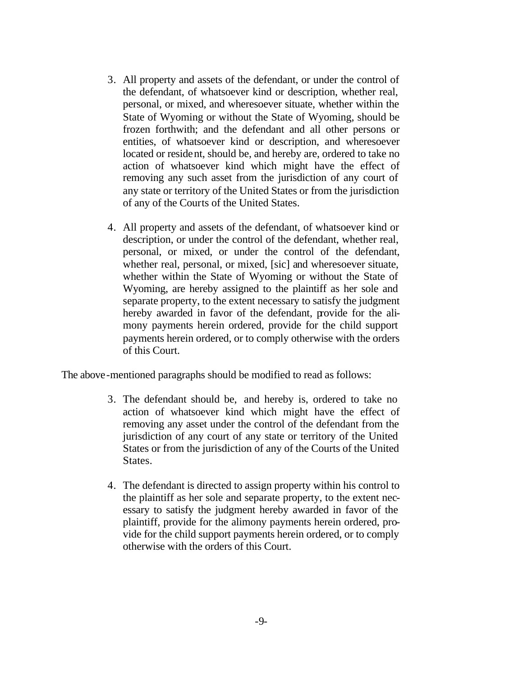- 3. All property and assets of the defendant, or under the control of the defendant, of whatsoever kind or description, whether real, personal, or mixed, and wheresoever situate, whether within the State of Wyoming or without the State of Wyoming, should be frozen forthwith; and the defendant and all other persons or entities, of whatsoever kind or description, and wheresoever located or resident, should be, and hereby are, ordered to take no action of whatsoever kind which might have the effect of removing any such asset from the jurisdiction of any court of any state or territory of the United States or from the jurisdiction of any of the Courts of the United States.
- 4. All property and assets of the defendant, of whatsoever kind or description, or under the control of the defendant, whether real, personal, or mixed, or under the control of the defendant, whether real, personal, or mixed, [sic] and wheresoever situate, whether within the State of Wyoming or without the State of Wyoming, are hereby assigned to the plaintiff as her sole and separate property, to the extent necessary to satisfy the judgment hereby awarded in favor of the defendant, provide for the alimony payments herein ordered, provide for the child support payments herein ordered, or to comply otherwise with the orders of this Court.

The above-mentioned paragraphs should be modified to read as follows:

- 3. The defendant should be, and hereby is, ordered to take no action of whatsoever kind which might have the effect of removing any asset under the control of the defendant from the jurisdiction of any court of any state or territory of the United States or from the jurisdiction of any of the Courts of the United States.
- 4. The defendant is directed to assign property within his control to the plaintiff as her sole and separate property, to the extent necessary to satisfy the judgment hereby awarded in favor of the plaintiff, provide for the alimony payments herein ordered, provide for the child support payments herein ordered, or to comply otherwise with the orders of this Court.